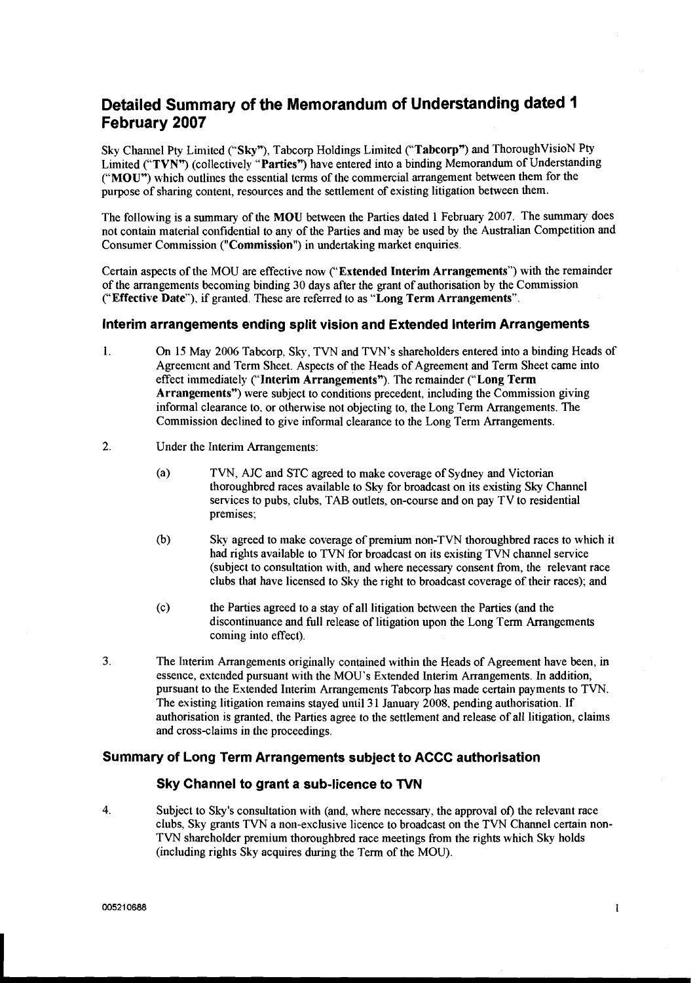# **Detailed Summary of the Memorandum of Understanding dated 1 February 2007**

Sky Channel Pty Limited ("Sky"), Tabcorp Holdings Limited ("Tabcorp") and ThoroughVisioN Pty Limited ("TVN") (collectively "Parties") have entered into a binding Memorandum of Understanding ("MOU") which outlines the essential terms of the commercial arrangement between them for the purpose of sharing content, resources and the settlement of existing litigation between them.

The following is a summary of the MOU between the Parties dated 1 February 2007. The summary does not contain material confidential to any of the Parties and may be used by the Australian Competition and Consumer Commission ("Commission") in undertaking market enquiries.

Certain aspects of the MOU are effective now ("Extended Interim Arrangements") with the remainder of the arrangements becoming binding **30** days after the grant of authorisation by the Commission ("Effective Date"), if granted. These are referred to as "Long Term Arrangements".

## **Interim arrangements ending split vision and Extended Interim Arrangements**

- 1. On 15 May 2006 Tabcorp, Sky, TVN and TVN's shareholders entered into a binding Heads of Agreement and Term Sheet. Aspects of the Heads of Agreement and Term Sheet came into effect immediately ("Interim Arrangements"). The remainder ("Long Term Arrangements") were subject to conditions precedent, including the Commission giving informal clearance to. or otherwise not objecting to, the Long Term Arrangements. The Commission declined to give informal clearance to the Long Term Arrangements.
- **2.** Under the Interim Arrangements:
	- (a> TVN, AJC and STC agreed to make coverage of Sydney and Victorian thoroughbred races available to Sky for broadcast on its existing Sky Channel services to pubs, clubs, TAB outlets. on-course and on pay TV to residential premises;
	- **0)** Sky agreed to make coverage of premium non-TVN thoroughbred races to which it had rights available to TVN for broadcast on its existing TVN channel service (subject to consultation with, and where necessary consent from, the relevant race clubs that have licensed to Sky the right to broadcast coverage of their races); and
	- (c) the Parties agreed to a stay of all litigation between the Parties (and the discontinuance and full release of litigation upon the Long Term Arrangements coming into effect).
- **3.** The Interiin Arrangements originally contained within the Heads of Agreement have been, in essence, extended pursuant with the MOU's Extended Interim Arrangements. In addition, pursuant to the Extended Interim Arrangemeilts Tabcorp has made certain payments to TVN. The existing litigation remains stayed until 31 January 2008, pending authorisation. If authorisation is granted. the Parties agree to the settlement and release of all litigation, claims and cross-claims in the proceedings.

## **Summary of Long Term Arrangements subject to ACCC authorisation**

## **Sky Channel to grant a sub-licence to TVN**

**4.** Subject to Sky's consultation with (and, where necessary, the approval of) the relevant race clubs, Sky grants TVN a non-exclusive licence to broadcast on the TVN Channel certain non-TVN shareholder premium thoroughbred race meetings from the rights which Sky holds (including rights Sky acquires during the Term of the MOU).

 $\mathbf{I}$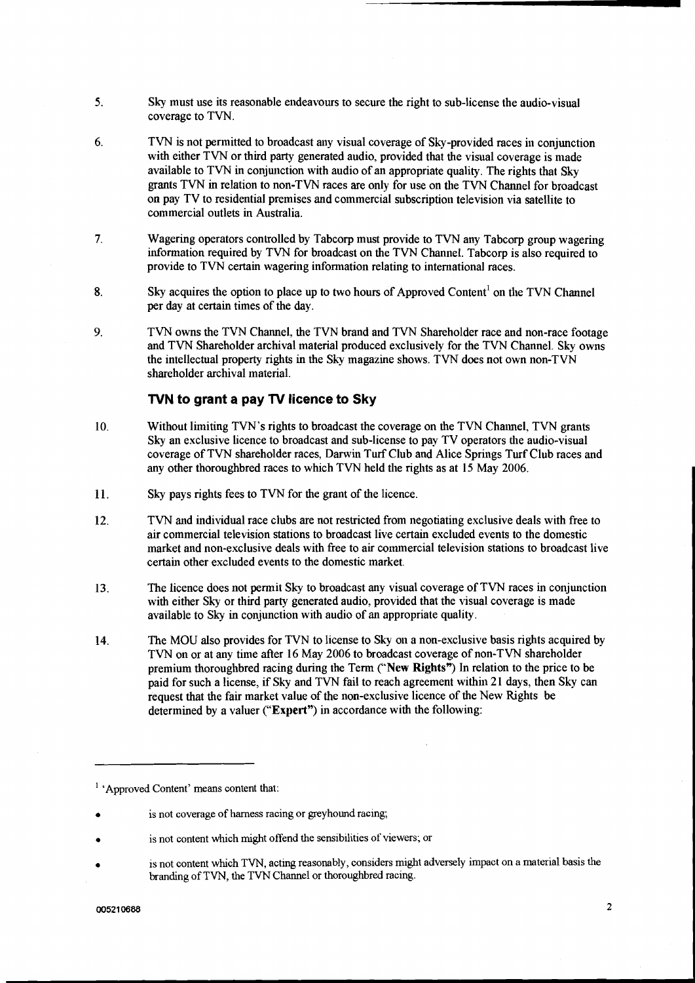- $5<sub>1</sub>$ Sky must use its reasonable endeavours to secure the right to sub-license the audio-visual coverage to TVN.
- 6. TVN is not permitted to broadcast any visual coverage of Shy-provided races in conjunction with either TVN or third party generated audio, provided that the visual coverage is made available to TVN in conjunction with audio of an appropriate quality. The rights that Sky grants TVN in relation to non-TVN races are only for use on the TVN Channel for broadcast on pay TV to residential premises and commercial subscription television via satellite to commercial outlets in Australia.
- $7.$ Wagering operators controlled by Tabcorp must provide to TVN any Tabcorp group wagering information required by TVN for broadcast on the TVN Channel. Tabcorp is also required to provide to TVN certain wagering information relating to international races.
- 8. Sky acquires the option to place up to two hours of Approved Content<sup>1</sup> on the TVN Channel per day at certain times of the day.
- $9<sub>l</sub>$ TVN owns the TVN Channel, the TVN brand and TVN Shareholder race and non-race footage and TVN Shareholder archival material produced exclusively for the TVN Channel. Sky owns the intellectual property rights in the Shy magazine shows. TVN does not own non-TVN shareholder archival material.

## **TVN to grant a pay** TV **licence to Sky**

- Without limiting TVN's rights to broadcast the coverage on the TVN Channel, TVN grants  $10.$ Sky an exclusive licence to broadcast and sub-license to pay TV operators the audio-visual coverage of TVN shareholder races, Darwin Turf Club and Alice Springs Turf Club races and any other thoroughbred races to which TVN held the rights as at 15 May 2006.
- 11. Sky pays rights fees to TVN for the grant of the licence.
- 12. TVN and individual race clubs are not restricted from negotiating exclusive deals with free to air commercial television stations to broadcast live certain excluded events to the domestic market and non-exclusive deals with free to air commercial television stations to broadcast live certain other excluded events to the domestic market.
- $13.$ The licence does not permit Sky to broadcast any visual coverage of TVN races in conjunction with either Sky or third party generated audio, provided that the visual coverage is made available to Sky in conjunction with audio of an appropriate quality.
- 14. The MOU also provides for TVN to license to Sky on a non-exclusive basis rights acquired by TVN on or at any time after 16 May 2006 to broadcast coverage of non-TVN shareholder premium thoroughbred racing during the Term ("New Rights") In relation to the price to be paid for such a license, if Sky and TVN fail to reach agreement within 2 1 days, then Sky can request that the fair market value of the non-exclusive licence of the New Rights be determined by a valuer ("Expert") in accordance with the following:

<sup>&</sup>lt;sup>1</sup> 'Approved Content' means content that:

is not coverage of harness racing or greyhound racing;

is not content which might offend the sensibilities of viewers; or

is not content which TVN, acting reasonably, considers might adversely impact on a material basis the branding of TVN, the TVN Channel or thoroughbred racing.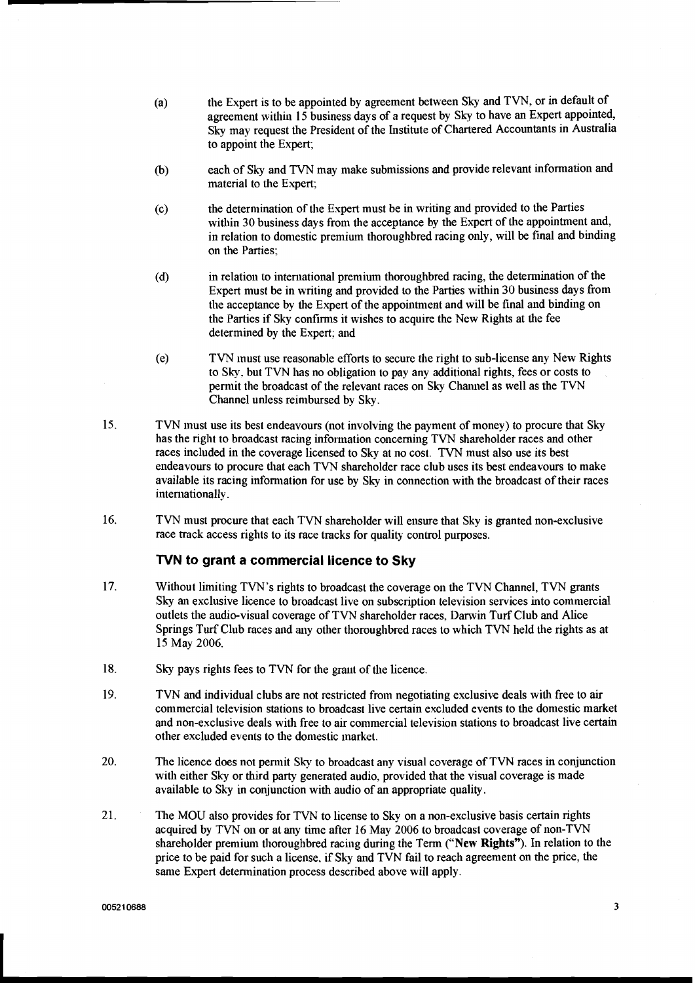- (a) the Expert is to be appointed by agreement between Sky and TVN, or in default of agreement within 15 business days of a request by Sky to have an Expert appointed, Sky may request the President of the Institute of Chartered Accountants in Australia to appoint the Expert;
- **(b)** each of Sky and TVN may make submissions and provide relevant information and material to the Expert;
- (c) the deterinination of the Expert must be in writing and provided to the Parties within 30 business days from the acceptance by the Expert of the appointment and, in relation to domestic premium thoroughbred racing only, will be final and binding on the Parties;
- (d) in relation to international premium thoroughbred racing, the determination of the Expert must be in writing and provided to the Parties within 30 business days from the acceptance by the Expert of the appointment and will be final and binding on the Parties if Sky confirms it wishes to acquire the New Rights at the fee determined by the Expert; and
- (e) TVN must use reasonable efforts to secure the right to sub-license any New Rights to Sky. but TVN has no obligation to pay any additional rights, fees or costs to permit the broadcast of the relevant races on Sky Channel as well as the TVN Channel unless reimbursed by Sky.
- 15. TVN must use its best endeavours (not involving the payment of money) to procure that Sky has the right to broadcast racing information concerning TVN shareholder races and other races included in the coverage licensed to Sky at no cost. TVN must also use its best endeavours to procure that each TVN shareholder race club uses its best endeavours to make available its racing information for use by Sky in connection with the broadcast of their races internationally.
- 16. TVN must procure that each TVN shareholder will ensure that Sky is granted non-exclusive race track access rights to its race tracks for quality control purposes.

## **NN to grant a commercial licence to Sky**

- 17. Without limiting TVN's rights to broadcast the coverage on the TVN Channel, TVN grants Sky an exclusive licence to broadcast live on subscription television services into commercial outlets the audio-visual coverage of TVN shareholder races, Darwin Turf Club and Alice Springs Turf Club races and any other thoroughbred races to which TVN held the rights as at 15 May 2006.
- 18. Sky pays rights fees to TVN for the grant of the licence.
- 19. TVN and individual clubs are not restricted from negotiating exclusive deals with free to air commercial television stations to broadcast live certain excluded events to the domestic market and non-exclusive deals with free to air commercial television stations to broadcast live certain other excluded events to the domestic market.
- 20. The licence does not permit Sky to broadcast any visual coverage of TVN races in conjunction with either Sky or third party generated audio, provided that the visual coverage is made available to Sky in conjunction with audio of an appropriate quality.
- 21. The MOU also provides for TVN to license to Sky on a non-exclusive basis certain rights acquired by TVN on or at any time after 16 May 2006 to broadcast coverage of non-TVN shareholder premium thoroughbred racing during the Term ("New Rights"). In relation to the price to be paid for such a license. if Sky and TVN fail to reach agreement on the price, the same Expert detennination process described above will apply.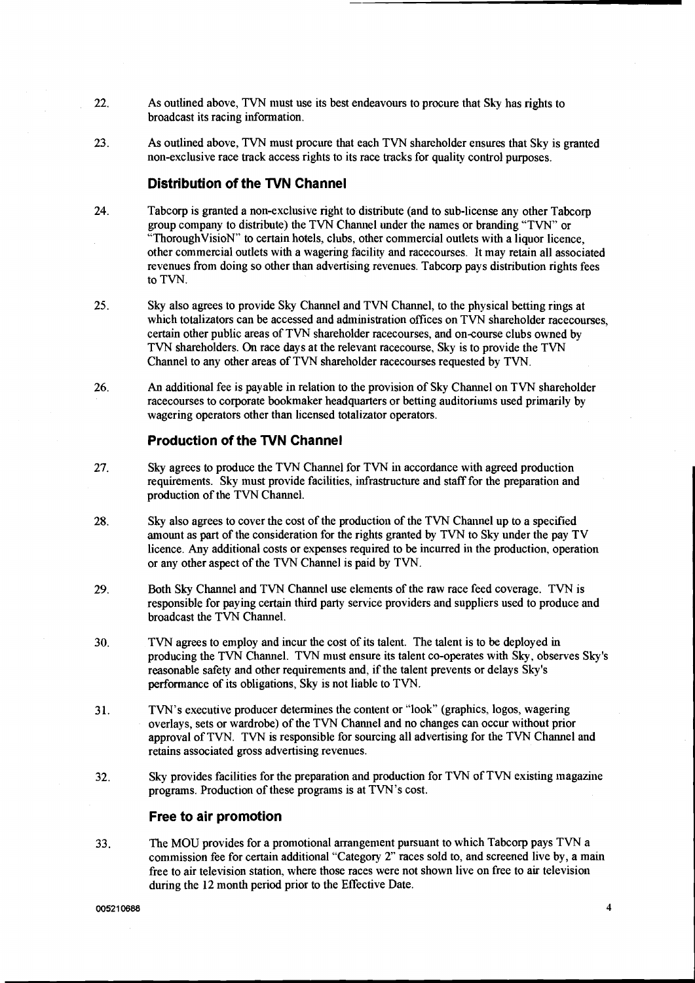- 22. As outlined above, TVN must use its best endeavours to procure that Sky has rights to broadcast its racing information.
- 23. As outlined above, TVN must procure that each TVN shareholder ensures that Sky is granted non-exclusive race track access rights to its race tracks for quality control purposes.

#### **Distribution of the TVN Channel**

- 24. Tabcorp is granted a non-exclusive right to distribute (and to sub-license any other Tabcorp group company to distribute) the TVN Channel under the names or branding "TVN" or "ThoroughVisioN" to certain hotels, clubs, other commercial outlets with a liquor licence, other commercial outlets with a wagering facility and racecourses. It may retain all associated revenues from doing so other than advertising revenues. Tabcorp pays distribution rights fees to TVN.
- 25. Sky also agrees to provide Sky Channel and TVN Channel, to the physical betting rings at which totalizators can be accessed and administration offices on TVN shareholder racecourses, certain other public areas of TVN shareholder racecourses, and on-course clubs owned by TVN shareholders. On race days at the relevant racecourse, Sky is to provide the TVN Channel to any other areas of TVN shareholder racecourses requested by TVN.
- An additional fee is payable in relation to the provision of Sky Channel on TVN shareholder 26. race courses to corporate bookmaker headquarters or betting auditoriums used primarily by wagering operators other than licensed totalizator operators.

#### **Production of the TVN Channel**

- 27. Sky agrees to produce the TVN Channel for TVN in accordance with agreed production requirements. Sky must provide facilities, infrastructure and staff for the preparation and production of the TVN Channel.
- Sky also agrees to cover the cost of the production of the TVN Channel up to a specified 28. amount as part of the consideration for the rights granted by TVN to Sky under the pay TV licence. Any additional costs or expenses required to be incurred in the production, operation or any other aspect of the TVN Channel is paid by TVN.
- 29. Both Sky Channel and TVN Channel use elements of the raw race feed coverage. TVN is responsible for paying certain third party service providers and suppliers used to produce and broadcast the TVN Channel.
- 30. TVN agrees to employ and incur the cost of its talent. The talent is to be deployed in producing the TVN Channel. TVN must ensure its talent co-operates with Sky, observes Sky's reasonable safety and other requirements and, if the talent prevents or delays Sky's performance of its obligations, Sky is not liable to TVN.
- 31. TVN's executive producer determines the content or "look" (graphics, logos, wagering overlays, sets or wardrobe) of the TVN Channel and no changes can occur without prior approval of TVN. TVN is responsible for sourcing all advertising for the TVN Channel and retains associated gross advertising revenues.
- 32. Sky provides facilities for the preparation and production for TVN of TVN existing inagazine programs. Production of these programs is at TVN's cost.

#### **Free to air promotion**

33. The MOU provides for a promotional arrangement pursuant to which Tabcorp pays TVN a commission fee for certain additional "Category 2" races sold to, and screened live by, a main free to air television station, where those races were not shown live on free to air television during the 12 month period prior to the Effective Date.

005210688

 $\overline{\mathbf{4}}$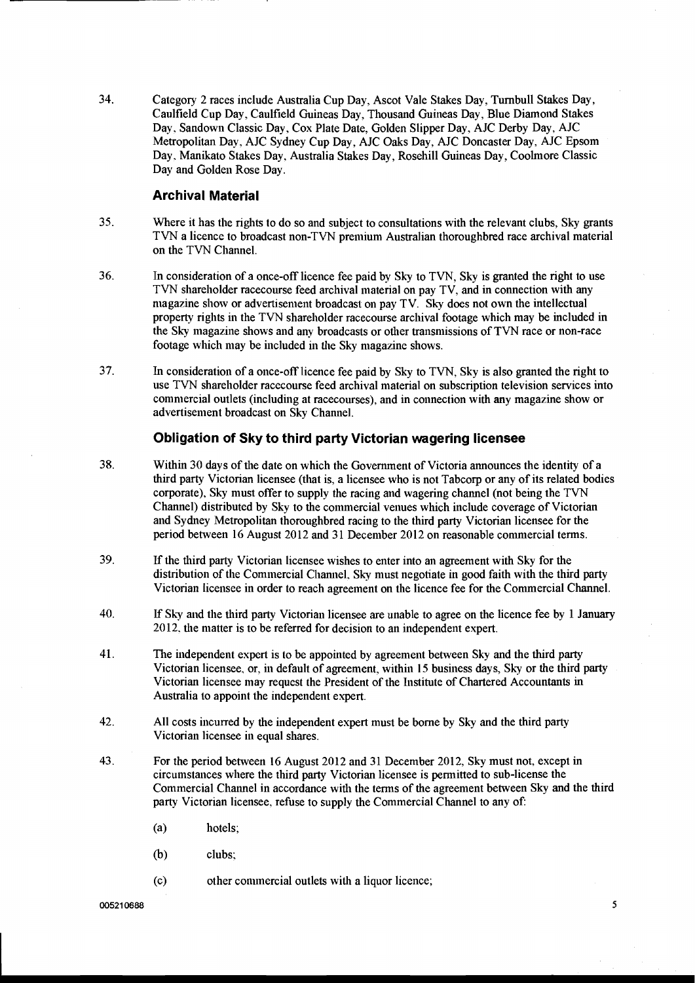34. Category 2 races include Australia Cup Day, Ascot Vale Stakes Day, Turnbull Stakes Day, Caulfield Cup Day, Caulfield Guineas Day, Thousand Guineas Day, Blue Diamond Stakes Day, Sandown Classic Day. Cox Plate Date. Golden Slipper Day, AJC Derby Day, AJC Metropolitan Day, AJC Sydney Cup Day, AJC Oaks Day, AJC Doncaster Day, AJC Epsom Day. Manlkato Stakes Day, Australia Stakes Day, Rosehill Guineas Day, Coolmore Classic Day and Golden Rose Day.

#### **Archival Material**

- 35. Where it has the rights to do so and subject to consultations with the relevant clubs, Sky grants TVN a licence to broadcast non-TVN prenlium Australian thoroughbred race archival material on the TVN Channel.
- 36. In consideration of a once-off licence fee paid by Sky to TVN, Sky is granted the right to use TVN shareholder racecourse feed archival material on pay TV, and in connection with any magazine show or advertisement broadcast on pay TV. Sky does not own the intellectual property rights in the TVN shareholder racecourse archival footage which may be included in the Shy magazine shows and any broadcasts or other transmissions of TVN race or non-race footage which may be included in the Sky magazine shows.
- 37. In consideration of a once-off licence fee paid by Sky to TVN, Sky is also granted the right to use TVN shareholder racecourse feed archival material on subscription television services into commercial outlets (including at racecourses), and in connection with any magazine show or advertisement broadcast on Sky Channel.

#### **Obligation of Sky to third party Victorian wagering licensee**

- 38. Within 30 days of the date on which the Government of Victoria announces the identity of a third party Victorian licensee (that is, a licensee who is not Tabcorp or any of its related bodies corporate), Sky must offer to supply the racing and wagering channel (not being the TVN Channel) distributed by Sky to the commercial venues which include coverage of Victorian and Sydney Metropolitan thoroughbred racing to the third party Victorian licensee for the period between 16 August 2012 and 31 December 2012 on reasonable commercial terms.
- 39. If the third party Victorian licensee wishes to enter into an agreement with Sky for the distribution of the Commercial Channel, Sky must negotiate in good faith with the third party Victorian licensee in order to reach agreement on the licence fee for the Commercial Channel.
- 40. If Sky and the third party Victorian licensee are unable to agree on the licence fee by 1 January 20 12. the matter is to be referred for decision to an independent expert.
- 41. The independent expert is to be appointed by agreement between Sky and the third party Victorian licensee, or, in default of agreement, within 15 business days, Shy or the third party Victorian licensee may request the President of the Institute of Chartered Accountants in Australia to appoint the independent expert.
- 42. All costs incurred by the independent expert must be borne by Sky and the third party Victorian licensee in equal shares.
- 43. For the period between 16 August 2012 and 31 December 2012, Sky must not, except in circuinstances where the third party Victorian licensee is permitted to sub-license the Commercial Channel in accordance with the terms of the agreement between Sky and the third party Victorian licensee, refuse to supply the Commercial Channel to any of:
	- (a) hotels;
	- (b) clubs:
	- (c) other conlinercia1 outlets with a liquor licence;

5